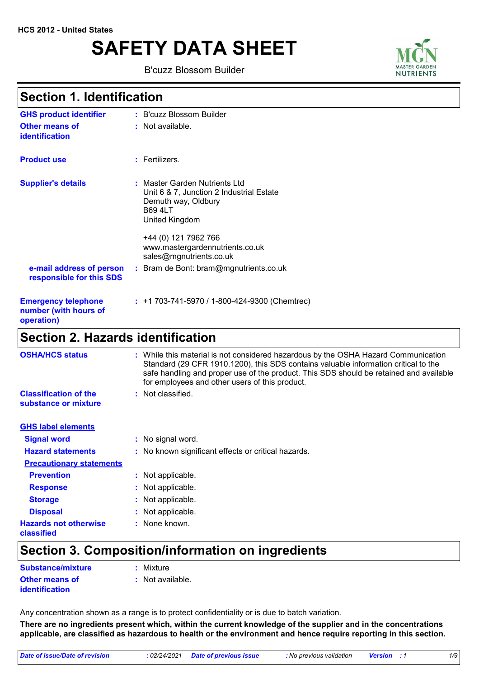# **SAFETY DATA SHEET**

B'cuzz Blossom Builder



### **Section 1. Identification**

| <b>GHS product identifier</b>                                     | : B'cuzz Blossom Builder                                                                                                                                                                                                   |
|-------------------------------------------------------------------|----------------------------------------------------------------------------------------------------------------------------------------------------------------------------------------------------------------------------|
| <b>Other means of</b><br>identification                           | : Not available.                                                                                                                                                                                                           |
| <b>Product use</b>                                                | $:$ Fertilizers.                                                                                                                                                                                                           |
| <b>Supplier's details</b>                                         | : Master Garden Nutrients Ltd<br>Unit 6 & 7, Junction 2 Industrial Estate<br>Demuth way, Oldbury<br><b>B69 4LT</b><br>United Kingdom<br>+44 (0) 121 7962 766<br>www.mastergardennutrients.co.uk<br>sales@mgnutrients.co.uk |
| e-mail address of person<br>responsible for this SDS              | : Bram de Bont: bram@mgnutrients.co.uk                                                                                                                                                                                     |
| <b>Emergency telephone</b><br>number (with hours of<br>operation) | $: +1703-741-5970/1-800-424-9300$ (Chemtrec)                                                                                                                                                                               |
| <b>Section 2. Hazards identification</b>                          |                                                                                                                                                                                                                            |

| <b>OSHA/HCS status</b>                               | While this material is not considered hazardous by the OSHA Hazard Communication<br>Standard (29 CFR 1910.1200), this SDS contains valuable information critical to the<br>safe handling and proper use of the product. This SDS should be retained and available<br>for employees and other users of this product. |  |
|------------------------------------------------------|---------------------------------------------------------------------------------------------------------------------------------------------------------------------------------------------------------------------------------------------------------------------------------------------------------------------|--|
| <b>Classification of the</b><br>substance or mixture | : Not classified.                                                                                                                                                                                                                                                                                                   |  |
| <b>GHS label elements</b>                            |                                                                                                                                                                                                                                                                                                                     |  |
| <b>Signal word</b>                                   | : No signal word.                                                                                                                                                                                                                                                                                                   |  |
| <b>Hazard statements</b>                             | : No known significant effects or critical hazards.                                                                                                                                                                                                                                                                 |  |
| <b>Precautionary statements</b>                      |                                                                                                                                                                                                                                                                                                                     |  |
| <b>Prevention</b>                                    | : Not applicable.                                                                                                                                                                                                                                                                                                   |  |
| <b>Response</b>                                      | : Not applicable.                                                                                                                                                                                                                                                                                                   |  |
| <b>Storage</b>                                       | Not applicable.                                                                                                                                                                                                                                                                                                     |  |
| <b>Disposal</b>                                      | : Not applicable.                                                                                                                                                                                                                                                                                                   |  |
| <b>Hazards not otherwise</b><br>classified           | : None known.                                                                                                                                                                                                                                                                                                       |  |

# **Section 3. Composition/information on ingredients**

| Substance/mixture                              | : Mixture                   |
|------------------------------------------------|-----------------------------|
| <b>Other means of</b><br><i>identification</i> | $\therefore$ Not available. |

Any concentration shown as a range is to protect confidentiality or is due to batch variation.

**There are no ingredients present which, within the current knowledge of the supplier and in the concentrations applicable, are classified as hazardous to health or the environment and hence require reporting in this section.**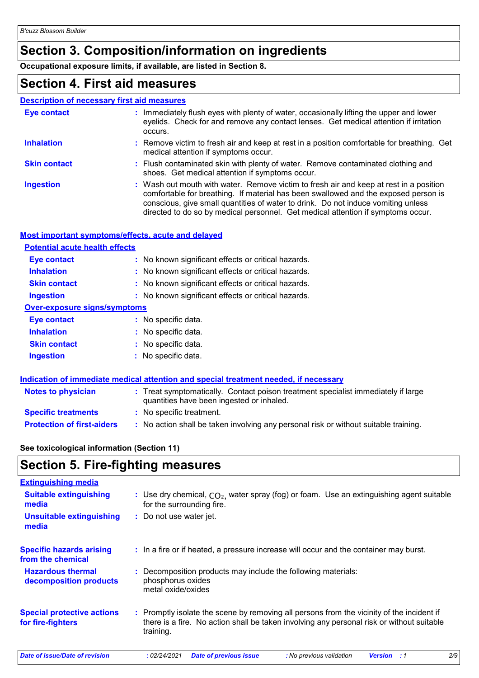# **Section 3. Composition/information on ingredients**

**Occupational exposure limits, if available, are listed in Section 8.**

### **Section 4. First aid measures**

#### **Description of necessary first aid measures**

| Eye contact         | : Immediately flush eyes with plenty of water, occasionally lifting the upper and lower<br>eyelids. Check for and remove any contact lenses. Get medical attention if irritation<br>occurs.                                                                                                                                                            |
|---------------------|--------------------------------------------------------------------------------------------------------------------------------------------------------------------------------------------------------------------------------------------------------------------------------------------------------------------------------------------------------|
| <b>Inhalation</b>   | : Remove victim to fresh air and keep at rest in a position comfortable for breathing. Get<br>medical attention if symptoms occur.                                                                                                                                                                                                                     |
| <b>Skin contact</b> | : Flush contaminated skin with plenty of water. Remove contaminated clothing and<br>shoes. Get medical attention if symptoms occur.                                                                                                                                                                                                                    |
| <b>Ingestion</b>    | : Wash out mouth with water. Remove victim to fresh air and keep at rest in a position<br>comfortable for breathing. If material has been swallowed and the exposed person is<br>conscious, give small quantities of water to drink. Do not induce vomiting unless<br>directed to do so by medical personnel. Get medical attention if symptoms occur. |

#### **Most important symptoms/effects, acute and delayed**

| <b>Potential acute health effects</b> |                                                     |
|---------------------------------------|-----------------------------------------------------|
| Eye contact                           | : No known significant effects or critical hazards. |
| <b>Inhalation</b>                     | : No known significant effects or critical hazards. |
| <b>Skin contact</b>                   | : No known significant effects or critical hazards. |
| <b>Ingestion</b>                      | : No known significant effects or critical hazards. |
| <b>Over-exposure signs/symptoms</b>   |                                                     |
| <b>Eye contact</b>                    | : No specific data.                                 |
| <b>Inhalation</b>                     | : No specific data.                                 |
| <b>Skin contact</b>                   | : No specific data.                                 |
| <b>Ingestion</b>                      | : No specific data.                                 |
|                                       |                                                     |

|                                   | Indication of immediate medical attention and special treatment needed, if necessary                                           |  |
|-----------------------------------|--------------------------------------------------------------------------------------------------------------------------------|--|
| <b>Notes to physician</b>         | : Treat symptomatically. Contact poison treatment specialist immediately if large<br>quantities have been ingested or inhaled. |  |
| <b>Specific treatments</b>        | : No specific treatment.                                                                                                       |  |
| <b>Protection of first-aiders</b> | : No action shall be taken involving any personal risk or without suitable training.                                           |  |

#### **See toxicological information (Section 11)**

# **Section 5. Fire-fighting measures**

| <b>Extinguishing media</b>                             |                                                                                                                                                                                                     |
|--------------------------------------------------------|-----------------------------------------------------------------------------------------------------------------------------------------------------------------------------------------------------|
| <b>Suitable extinguishing</b><br>media                 | : Use dry chemical, $CO2$ , water spray (fog) or foam. Use an extinguishing agent suitable<br>for the surrounding fire.                                                                             |
| <b>Unsuitable extinguishing</b><br>media               | : Do not use water jet.                                                                                                                                                                             |
| <b>Specific hazards arising</b><br>from the chemical   | : In a fire or if heated, a pressure increase will occur and the container may burst.                                                                                                               |
| <b>Hazardous thermal</b><br>decomposition products     | : Decomposition products may include the following materials:<br>phosphorus oxides<br>metal oxide/oxides                                                                                            |
| <b>Special protective actions</b><br>for fire-fighters | : Promptly isolate the scene by removing all persons from the vicinity of the incident if<br>there is a fire. No action shall be taken involving any personal risk or without suitable<br>training. |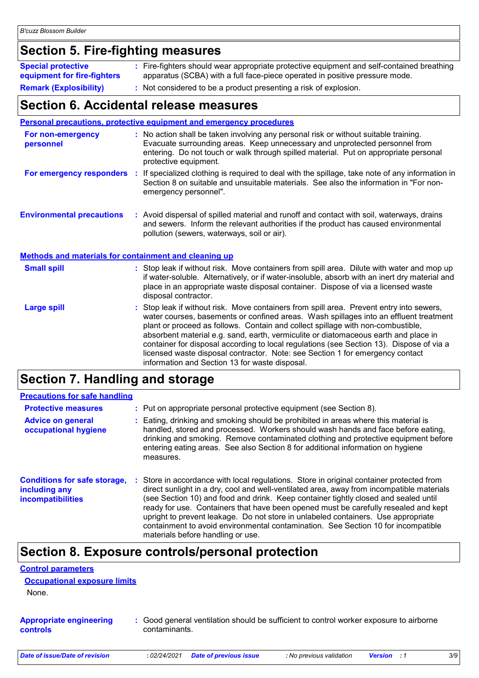# **Section 5. Fire-fighting measures**

| <b>Special protective</b><br>equipment for fire-fighters | : Fire-fighters should wear appropriate protective equipment and self-contained breathing<br>apparatus (SCBA) with a full face-piece operated in positive pressure mode. |
|----------------------------------------------------------|--------------------------------------------------------------------------------------------------------------------------------------------------------------------------|
| <b>Remark (Explosibility)</b>                            | : Not considered to be a product presenting a risk of explosion.                                                                                                         |

### **Section 6. Accidental release measures**

|                                                              | <b>Personal precautions, protective equipment and emergency procedures</b>                                                                                                                                                                                                                                                                                                                                                                                                                                                                                                                 |  |
|--------------------------------------------------------------|--------------------------------------------------------------------------------------------------------------------------------------------------------------------------------------------------------------------------------------------------------------------------------------------------------------------------------------------------------------------------------------------------------------------------------------------------------------------------------------------------------------------------------------------------------------------------------------------|--|
| For non-emergency<br>personnel                               | : No action shall be taken involving any personal risk or without suitable training.<br>Evacuate surrounding areas. Keep unnecessary and unprotected personnel from<br>entering. Do not touch or walk through spilled material. Put on appropriate personal<br>protective equipment.                                                                                                                                                                                                                                                                                                       |  |
| For emergency responders                                     | : If specialized clothing is required to deal with the spillage, take note of any information in<br>Section 8 on suitable and unsuitable materials. See also the information in "For non-<br>emergency personnel".                                                                                                                                                                                                                                                                                                                                                                         |  |
| <b>Environmental precautions</b>                             | : Avoid dispersal of spilled material and runoff and contact with soil, waterways, drains<br>and sewers. Inform the relevant authorities if the product has caused environmental<br>pollution (sewers, waterways, soil or air).                                                                                                                                                                                                                                                                                                                                                            |  |
| <b>Methods and materials for containment and cleaning up</b> |                                                                                                                                                                                                                                                                                                                                                                                                                                                                                                                                                                                            |  |
| <b>Small spill</b>                                           | : Stop leak if without risk. Move containers from spill area. Dilute with water and mop up<br>if water-soluble. Alternatively, or if water-insoluble, absorb with an inert dry material and<br>place in an appropriate waste disposal container. Dispose of via a licensed waste<br>disposal contractor.                                                                                                                                                                                                                                                                                   |  |
| <b>Large spill</b>                                           | : Stop leak if without risk. Move containers from spill area. Prevent entry into sewers,<br>water courses, basements or confined areas. Wash spillages into an effluent treatment<br>plant or proceed as follows. Contain and collect spillage with non-combustible,<br>absorbent material e.g. sand, earth, vermiculite or diatomaceous earth and place in<br>container for disposal according to local regulations (see Section 13). Dispose of via a<br>licensed waste disposal contractor. Note: see Section 1 for emergency contact<br>information and Section 13 for waste disposal. |  |

# **Section 7. Handling and storage**

| <b>Precautions for safe handling</b>                                             |                                                                                                                                                                                                                                                                                                                                                                                                                                                                                                                                                                                  |
|----------------------------------------------------------------------------------|----------------------------------------------------------------------------------------------------------------------------------------------------------------------------------------------------------------------------------------------------------------------------------------------------------------------------------------------------------------------------------------------------------------------------------------------------------------------------------------------------------------------------------------------------------------------------------|
| <b>Protective measures</b>                                                       | : Put on appropriate personal protective equipment (see Section 8).                                                                                                                                                                                                                                                                                                                                                                                                                                                                                                              |
| <b>Advice on general</b><br>occupational hygiene                                 | Eating, drinking and smoking should be prohibited in areas where this material is<br>handled, stored and processed. Workers should wash hands and face before eating,<br>drinking and smoking. Remove contaminated clothing and protective equipment before<br>entering eating areas. See also Section 8 for additional information on hygiene<br>measures.                                                                                                                                                                                                                      |
| <b>Conditions for safe storage,</b><br>including any<br><i>incompatibilities</i> | Store in accordance with local regulations. Store in original container protected from<br>direct sunlight in a dry, cool and well-ventilated area, away from incompatible materials<br>(see Section 10) and food and drink. Keep container tightly closed and sealed until<br>ready for use. Containers that have been opened must be carefully resealed and kept<br>upright to prevent leakage. Do not store in unlabeled containers. Use appropriate<br>containment to avoid environmental contamination. See Section 10 for incompatible<br>materials before handling or use. |

### **Section 8. Exposure controls/personal protection**

| <b>Control parameters</b>                         |                                                                                                         |
|---------------------------------------------------|---------------------------------------------------------------------------------------------------------|
| <b>Occupational exposure limits</b>               |                                                                                                         |
| None.                                             |                                                                                                         |
| <b>Appropriate engineering</b><br><b>controls</b> | : Good general ventilation should be sufficient to control worker exposure to airborne<br>contaminants. |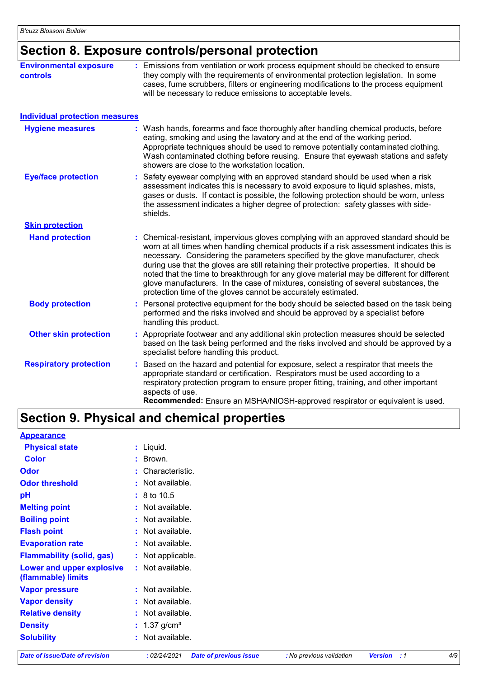# **Section 8. Exposure controls/personal protection**

| <b>Environmental exposure</b><br><b>controls</b> | : Emissions from ventilation or work process equipment should be checked to ensure<br>they comply with the requirements of environmental protection legislation. In some<br>cases, fume scrubbers, filters or engineering modifications to the process equipment<br>will be necessary to reduce emissions to acceptable levels.                                                                                                                                                                                                                                                                                        |
|--------------------------------------------------|------------------------------------------------------------------------------------------------------------------------------------------------------------------------------------------------------------------------------------------------------------------------------------------------------------------------------------------------------------------------------------------------------------------------------------------------------------------------------------------------------------------------------------------------------------------------------------------------------------------------|
| <b>Individual protection measures</b>            |                                                                                                                                                                                                                                                                                                                                                                                                                                                                                                                                                                                                                        |
| <b>Hygiene measures</b>                          | : Wash hands, forearms and face thoroughly after handling chemical products, before<br>eating, smoking and using the lavatory and at the end of the working period.<br>Appropriate techniques should be used to remove potentially contaminated clothing.<br>Wash contaminated clothing before reusing. Ensure that eyewash stations and safety<br>showers are close to the workstation location.                                                                                                                                                                                                                      |
| <b>Eye/face protection</b>                       | Safety eyewear complying with an approved standard should be used when a risk<br>assessment indicates this is necessary to avoid exposure to liquid splashes, mists,<br>gases or dusts. If contact is possible, the following protection should be worn, unless<br>the assessment indicates a higher degree of protection: safety glasses with side-<br>shields.                                                                                                                                                                                                                                                       |
| <b>Skin protection</b>                           |                                                                                                                                                                                                                                                                                                                                                                                                                                                                                                                                                                                                                        |
| <b>Hand protection</b>                           | : Chemical-resistant, impervious gloves complying with an approved standard should be<br>worn at all times when handling chemical products if a risk assessment indicates this is<br>necessary. Considering the parameters specified by the glove manufacturer, check<br>during use that the gloves are still retaining their protective properties. It should be<br>noted that the time to breakthrough for any glove material may be different for different<br>glove manufacturers. In the case of mixtures, consisting of several substances, the<br>protection time of the gloves cannot be accurately estimated. |
| <b>Body protection</b>                           | Personal protective equipment for the body should be selected based on the task being<br>performed and the risks involved and should be approved by a specialist before<br>handling this product.                                                                                                                                                                                                                                                                                                                                                                                                                      |
| <b>Other skin protection</b>                     | : Appropriate footwear and any additional skin protection measures should be selected<br>based on the task being performed and the risks involved and should be approved by a<br>specialist before handling this product.                                                                                                                                                                                                                                                                                                                                                                                              |
| <b>Respiratory protection</b>                    | Based on the hazard and potential for exposure, select a respirator that meets the<br>appropriate standard or certification. Respirators must be used according to a<br>respiratory protection program to ensure proper fitting, training, and other important<br>aspects of use.<br>Recommended: Ensure an MSHA/NIOSH-approved respirator or equivalent is used.                                                                                                                                                                                                                                                      |

### **Section 9. Physical and chemical properties**

| <b>Appearance</b>                               |                            |  |
|-------------------------------------------------|----------------------------|--|
| <b>Physical state</b>                           | : Liquid.                  |  |
| <b>Color</b>                                    | $:$ Brown.                 |  |
| <b>Odor</b>                                     | : Characteristic.          |  |
| <b>Odor threshold</b>                           | : Not available.           |  |
| pH                                              | $: 8 \text{ to } 10.5$     |  |
| <b>Melting point</b>                            | : Not available.           |  |
| <b>Boiling point</b>                            | : Not available.           |  |
| <b>Flash point</b>                              | : Not available.           |  |
| <b>Evaporation rate</b>                         | : Not available.           |  |
| <b>Flammability (solid, gas)</b>                | : Not applicable.          |  |
| Lower and upper explosive<br>(flammable) limits | : Not available.           |  |
| <b>Vapor pressure</b>                           | : Not available.           |  |
| <b>Vapor density</b>                            | : Not available.           |  |
| <b>Relative density</b>                         | $:$ Not available.         |  |
| <b>Density</b>                                  | : $1.37$ g/cm <sup>3</sup> |  |
| <b>Solubility</b>                               | : Not available.           |  |
|                                                 |                            |  |

*Date of issue/Date of revision* **:** *02/24/2021 Date of previous issue : No previous validation Version : 1 4/9*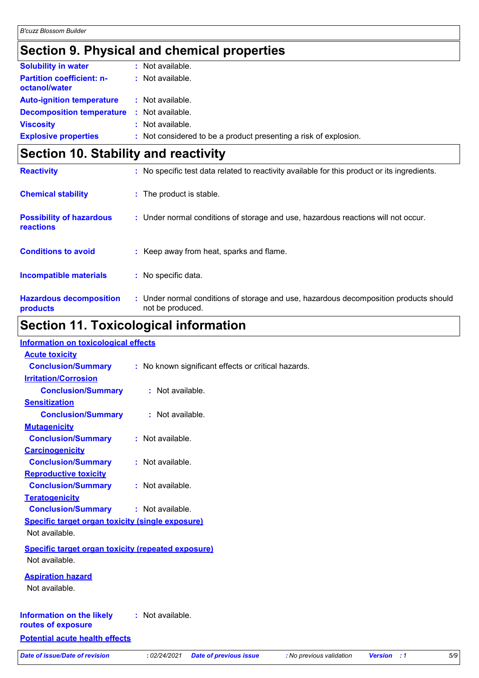# **Section 9. Physical and chemical properties**

| <b>Solubility in water</b>                        | : Not available.                                                 |
|---------------------------------------------------|------------------------------------------------------------------|
| <b>Partition coefficient: n-</b><br>octanol/water | : Not available.                                                 |
| <b>Auto-ignition temperature</b>                  | : Not available.                                                 |
| <b>Decomposition temperature :</b> Not available. |                                                                  |
| <b>Viscosity</b>                                  | : Not available.                                                 |
| <b>Explosive properties</b>                       | : Not considered to be a product presenting a risk of explosion. |

# **Section 10. Stability and reactivity**

| <b>Reactivity</b>                            | : No specific test data related to reactivity available for this product or its ingredients.              |
|----------------------------------------------|-----------------------------------------------------------------------------------------------------------|
| <b>Chemical stability</b>                    | : The product is stable.                                                                                  |
| <b>Possibility of hazardous</b><br>reactions | : Under normal conditions of storage and use, hazardous reactions will not occur.                         |
| <b>Conditions to avoid</b>                   | : Keep away from heat, sparks and flame.                                                                  |
| <b>Incompatible materials</b>                | : No specific data.                                                                                       |
| <b>Hazardous decomposition</b><br>products   | : Under normal conditions of storage and use, hazardous decomposition products should<br>not be produced. |

# **Section 11. Toxicological information**

| <b>Information on toxicological effects</b>               |                                                                                                           |     |
|-----------------------------------------------------------|-----------------------------------------------------------------------------------------------------------|-----|
| <b>Acute toxicity</b>                                     |                                                                                                           |     |
| <b>Conclusion/Summary</b>                                 | : No known significant effects or critical hazards.                                                       |     |
| <b>Irritation/Corrosion</b>                               |                                                                                                           |     |
| <b>Conclusion/Summary</b>                                 | : Not available.                                                                                          |     |
| <b>Sensitization</b>                                      |                                                                                                           |     |
| <b>Conclusion/Summary</b>                                 | : Not available.                                                                                          |     |
| <b>Mutagenicity</b>                                       |                                                                                                           |     |
| <b>Conclusion/Summary</b>                                 | : Not available.                                                                                          |     |
| <b>Carcinogenicity</b>                                    |                                                                                                           |     |
| <b>Conclusion/Summary</b>                                 | : Not available.                                                                                          |     |
| <b>Reproductive toxicity</b>                              |                                                                                                           |     |
| <b>Conclusion/Summary</b>                                 | : Not available.                                                                                          |     |
| <b>Teratogenicity</b>                                     |                                                                                                           |     |
| <b>Conclusion/Summary</b>                                 | : Not available.                                                                                          |     |
| <b>Specific target organ toxicity (single exposure)</b>   |                                                                                                           |     |
| Not available.                                            |                                                                                                           |     |
| <b>Specific target organ toxicity (repeated exposure)</b> |                                                                                                           |     |
| Not available.                                            |                                                                                                           |     |
|                                                           |                                                                                                           |     |
| <b>Aspiration hazard</b>                                  |                                                                                                           |     |
| Not available.                                            |                                                                                                           |     |
|                                                           |                                                                                                           |     |
| <b>Information on the likely</b>                          | : Not available.                                                                                          |     |
| routes of exposure                                        |                                                                                                           |     |
| <b>Potential acute health effects</b>                     |                                                                                                           |     |
| <b>Date of issue/Date of revision</b>                     | : 02/24/2021<br><b>Date of previous issue</b><br>: No previous validation<br><b>Version</b><br>$\cdot$ :1 | 5/9 |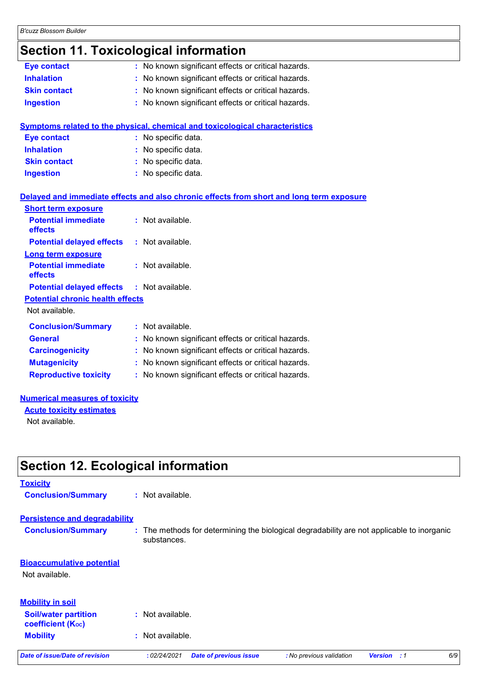# **Section 11. Toxicological information**

| Eye contact                             | : No known significant effects or critical hazards.                                      |
|-----------------------------------------|------------------------------------------------------------------------------------------|
| <b>Inhalation</b>                       | : No known significant effects or critical hazards.                                      |
| <b>Skin contact</b>                     | : No known significant effects or critical hazards.                                      |
| <b>Ingestion</b>                        | : No known significant effects or critical hazards.                                      |
|                                         |                                                                                          |
|                                         | <b>Symptoms related to the physical, chemical and toxicological characteristics</b>      |
| <b>Eye contact</b>                      | : No specific data.                                                                      |
| <b>Inhalation</b>                       | : No specific data.                                                                      |
| <b>Skin contact</b>                     | : No specific data.                                                                      |
| <b>Ingestion</b>                        | : No specific data.                                                                      |
|                                         |                                                                                          |
|                                         | Delayed and immediate effects and also chronic effects from short and long term exposure |
| <b>Short term exposure</b>              |                                                                                          |
| <b>Potential immediate</b><br>effects   | : Not available.                                                                         |
| <b>Potential delayed effects</b>        | : Not available.                                                                         |
| <b>Long term exposure</b>               |                                                                                          |
| <b>Potential immediate</b>              | : Not available.                                                                         |
| effects                                 |                                                                                          |
| <b>Potential delayed effects</b>        | : Not available.                                                                         |
| <b>Potential chronic health effects</b> |                                                                                          |
| Not available.                          |                                                                                          |
| <b>Conclusion/Summary</b>               | : Not available.                                                                         |
| <b>General</b>                          | : No known significant effects or critical hazards.                                      |
| <b>Carcinogenicity</b>                  | : No known significant effects or critical hazards.                                      |
| <b>Mutagenicity</b>                     | : No known significant effects or critical hazards.                                      |
| <b>Reproductive toxicity</b>            | : No known significant effects or critical hazards.                                      |
|                                         |                                                                                          |

#### **Numerical measures of toxicity**

**Acute toxicity estimates** Not available.

**Section 12. Ecological information**

### **Toxicity Conclusion/Summary :** Not available. **Persistence and degradability**

**Conclusion/Summary :** The methods for determining the biological degradability are not applicable to inorganic substances.

### **Mobility :** Not available. **Bioaccumulative potential** Not available. **Soil/water partition coefficient (KOC) :** Not available. **Mobility in soil** *Date of issue/Date of revision* **:** *02/24/2021 Date of previous issue : No previous validation Version : 1 6/9*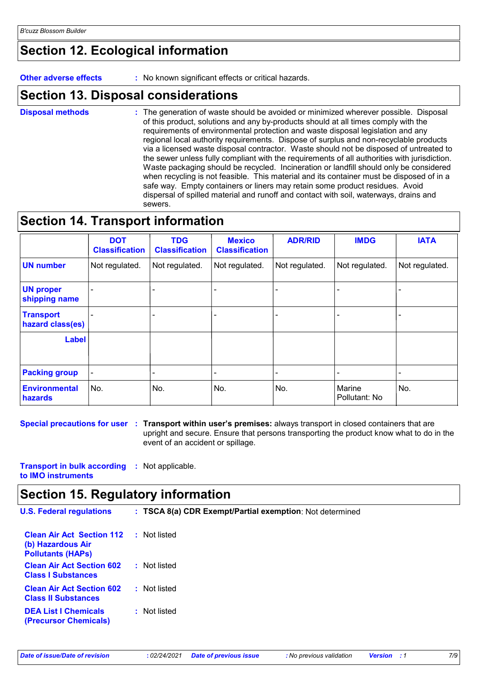# **Section 12. Ecological information**

**Other adverse effects** : No known significant effects or critical hazards.

### **Section 13. Disposal considerations**

The generation of waste should be avoided or minimized wherever possible. Disposal of this product, solutions and any by-products should at all times comply with the requirements of environmental protection and waste disposal legislation and any regional local authority requirements. Dispose of surplus and non-recyclable products via a licensed waste disposal contractor. Waste should not be disposed of untreated to the sewer unless fully compliant with the requirements of all authorities with jurisdiction. Waste packaging should be recycled. Incineration or landfill should only be considered when recycling is not feasible. This material and its container must be disposed of in a safe way. Empty containers or liners may retain some product residues. Avoid dispersal of spilled material and runoff and contact with soil, waterways, drains and sewers. **Disposal methods :**

### **Section 14. Transport information**

|                                      | <b>DOT</b><br><b>Classification</b> | <b>TDG</b><br><b>Classification</b> | <b>Mexico</b><br><b>Classification</b> | <b>ADR/RID</b> | <b>IMDG</b>             | <b>IATA</b>    |
|--------------------------------------|-------------------------------------|-------------------------------------|----------------------------------------|----------------|-------------------------|----------------|
| <b>UN number</b>                     | Not regulated.                      | Not regulated.                      | Not regulated.                         | Not regulated. | Not regulated.          | Not regulated. |
| <b>UN proper</b><br>shipping name    |                                     |                                     |                                        |                |                         |                |
| <b>Transport</b><br>hazard class(es) |                                     |                                     |                                        |                |                         |                |
| <b>Label</b>                         |                                     |                                     |                                        |                |                         |                |
| <b>Packing group</b>                 |                                     |                                     |                                        |                |                         |                |
| Environmental<br>hazards             | No.                                 | No.                                 | No.                                    | No.            | Marine<br>Pollutant: No | No.            |

**Special precautions for user Transport within user's premises:** always transport in closed containers that are **:** upright and secure. Ensure that persons transporting the product know what to do in the event of an accident or spillage.

**Transport in bulk according :** Not applicable. **to IMO instruments**

### **Section 15. Regulatory information**

| <b>U.S. Federal regulations</b>                                                   | : TSCA 8(a) CDR Exempt/Partial exemption: Not determined |
|-----------------------------------------------------------------------------------|----------------------------------------------------------|
| <b>Clean Air Act Section 112</b><br>(b) Hazardous Air<br><b>Pollutants (HAPS)</b> | : Not listed                                             |
| <b>Clean Air Act Section 602</b><br><b>Class I Substances</b>                     | : Not listed                                             |
| <b>Clean Air Act Section 602</b><br><b>Class II Substances</b>                    | : Not listed                                             |

**DEA List I Chemicals** 

**:** Not listed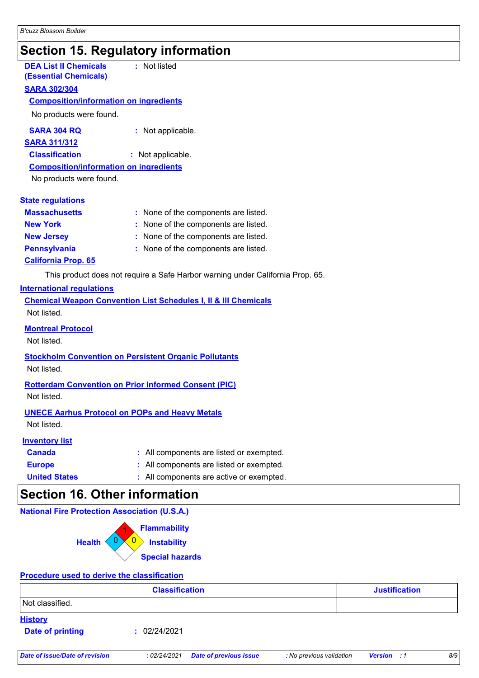### **Section 15. Regulatory information**

| <b>DEA List II Chemicals</b><br><b>(Essential Chemicals)</b> | : Not listed                         |
|--------------------------------------------------------------|--------------------------------------|
| <b>SARA 302/304</b>                                          |                                      |
| <b>Composition/information on ingredients</b>                |                                      |
| No products were found.                                      |                                      |
| <b>SARA 304 RQ</b>                                           | : Not applicable.                    |
| <u>SARA 311/312</u>                                          |                                      |
| <b>Classification</b>                                        | : Not applicable.                    |
| <u>Composition/information on ingredients</u>                |                                      |
| No products were found.                                      |                                      |
|                                                              |                                      |
| <b>State regulations</b>                                     |                                      |
| <b>Massachusetts</b>                                         | : None of the components are listed. |
| <b>New York</b>                                              | None of the components are listed.   |
| <b>New Jersey</b>                                            | None of the components are listed.   |
| <b>Pennsylvania</b>                                          | : None of the components are listed. |
|                                                              |                                      |

**California Prop. 65**

This product does not require a Safe Harbor warning under California Prop. 65.

#### **International regulations**

| <b>Chemical Weapon Convention List Schedules I, II &amp; III Chemicals</b> |  |
|----------------------------------------------------------------------------|--|
| Not listed.                                                                |  |
| <b>Montreal Protocol</b>                                                   |  |

Not listed.

#### **Stockholm Convention on Persistent Organic Pollutants**

Not listed.

#### **Rotterdam Convention on Prior Informed Consent (PIC)**

Not listed.

#### **UNECE Aarhus Protocol on POPs and Heavy Metals**

Not listed.

#### **Inventory list**

- **Canada :** All components are listed or exempted.
- **Europe :** All components are listed or exempted.
- **United States :** All components are active or exempted.

### **Section 16. Other information**

#### **National Fire Protection Association (U.S.A.)**



#### **Procedure used to derive the classification**

|                                           | <b>Classification</b> | <b>Justification</b> |
|-------------------------------------------|-----------------------|----------------------|
| Not classified.                           |                       |                      |
| <b>History</b><br><b>Date of printing</b> | 02/24/2021<br>п.      |                      |
|                                           |                       |                      |